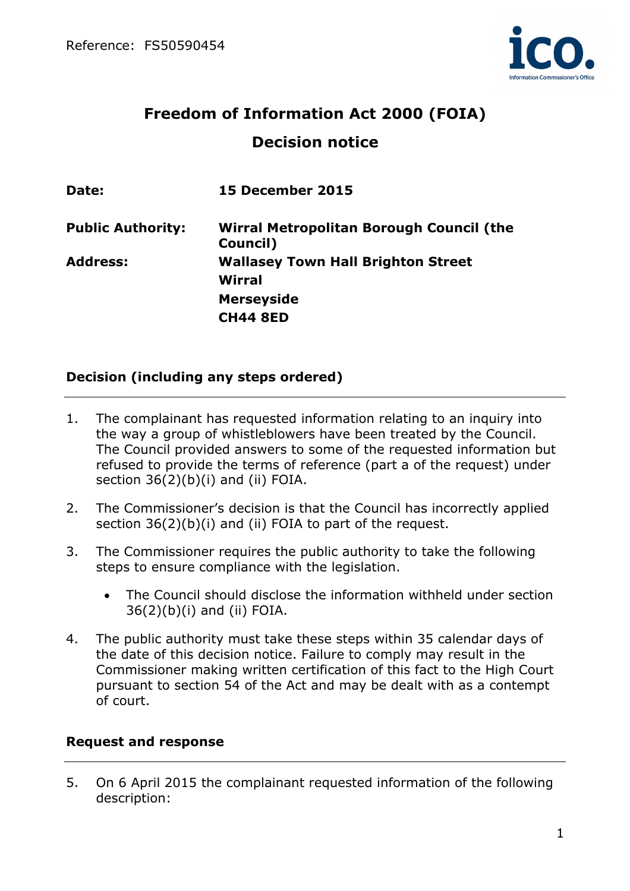

# **Freedom of Information Act 2000 (FOIA) Decision notice**

| Date:                    | <b>15 December 2015</b>                              |
|--------------------------|------------------------------------------------------|
| <b>Public Authority:</b> | Wirral Metropolitan Borough Council (the<br>Council) |
| <b>Address:</b>          | <b>Wallasey Town Hall Brighton Street</b><br>Wirral  |
|                          | <b>Merseyside</b>                                    |
|                          | <b>CH44 8ED</b>                                      |

## **Decision (including any steps ordered)**

- 1. The complainant has requested information relating to an inquiry into the way a group of whistleblowers have been treated by the Council. The Council provided answers to some of the requested information but refused to provide the terms of reference (part a of the request) under section 36(2)(b)(i) and (ii) FOIA.
- 2. The Commissioner's decision is that the Council has incorrectly applied section  $36(2)(b)(i)$  and (ii) FOIA to part of the request.
- 3. The Commissioner requires the public authority to take the following steps to ensure compliance with the legislation.
	- The Council should disclose the information withheld under section 36(2)(b)(i) and (ii) FOIA.
- 4. The public authority must take these steps within 35 calendar days of the date of this decision notice. Failure to comply may result in the Commissioner making written certification of this fact to the High Court pursuant to section 54 of the Act and may be dealt with as a contempt of court.

## **Request and response**

5. On 6 April 2015 the complainant requested information of the following description: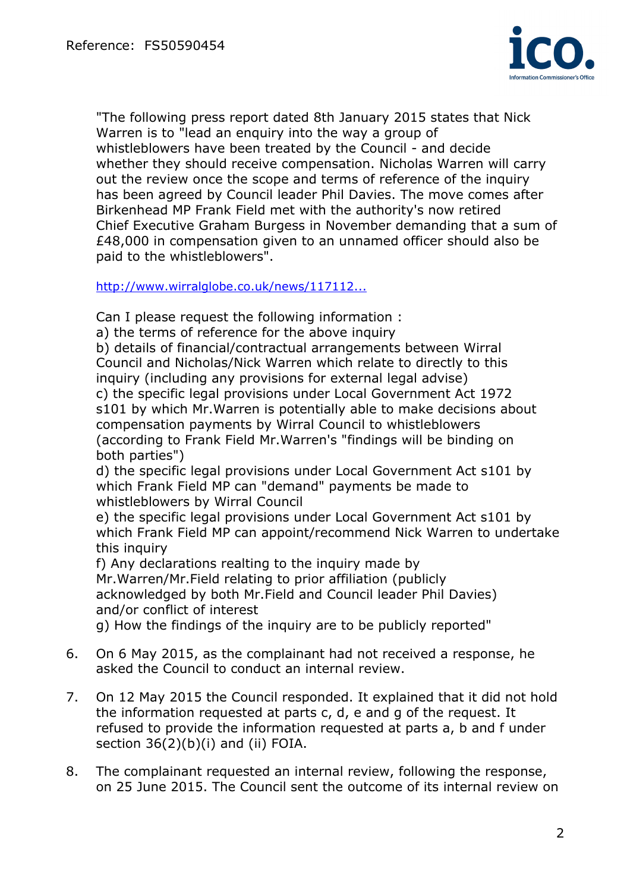

"The following press report dated 8th January 2015 states that Nick Warren is to "lead an enquiry into the way a group of whistleblowers have been treated by the Council - and decide whether they should receive compensation. Nicholas Warren will carry out the review once the scope and terms of reference of the inquiry has been agreed by Council leader Phil Davies. The move comes after Birkenhead MP Frank Field met with the authority's now retired Chief Executive Graham Burgess in November demanding that a sum of £48,000 in compensation given to an unnamed officer should also be paid to the whistleblowers".

http://www.wirralglobe.co.uk/news/117112...

Can I please request the following information :

a) the terms of reference for the above inquiry

b) details of financial/contractual arrangements between Wirral Council and Nicholas/Nick Warren which relate to directly to this inquiry (including any provisions for external legal advise)

c) the specific legal provisions under Local Government Act 1972 s101 by which Mr.Warren is potentially able to make decisions about compensation payments by Wirral Council to whistleblowers (according to Frank Field Mr.Warren's "findings will be binding on both parties")

d) the specific legal provisions under Local Government Act s101 by which Frank Field MP can "demand" payments be made to whistleblowers by Wirral Council

e) the specific legal provisions under Local Government Act s101 by which Frank Field MP can appoint/recommend Nick Warren to undertake this inquiry

f) Any declarations realting to the inquiry made by Mr.Warren/Mr.Field relating to prior affiliation (publicly acknowledged by both Mr.Field and Council leader Phil Davies) and/or conflict of interest

g) How the findings of the inquiry are to be publicly reported"

- 6. On 6 May 2015, as the complainant had not received a response, he asked the Council to conduct an internal review.
- 7. On 12 May 2015 the Council responded. It explained that it did not hold the information requested at parts c, d, e and g of the request. It refused to provide the information requested at parts a, b and f under section  $36(2)(b)(i)$  and (ii) FOIA.
- 8. The complainant requested an internal review, following the response, on 25 June 2015. The Council sent the outcome of its internal review on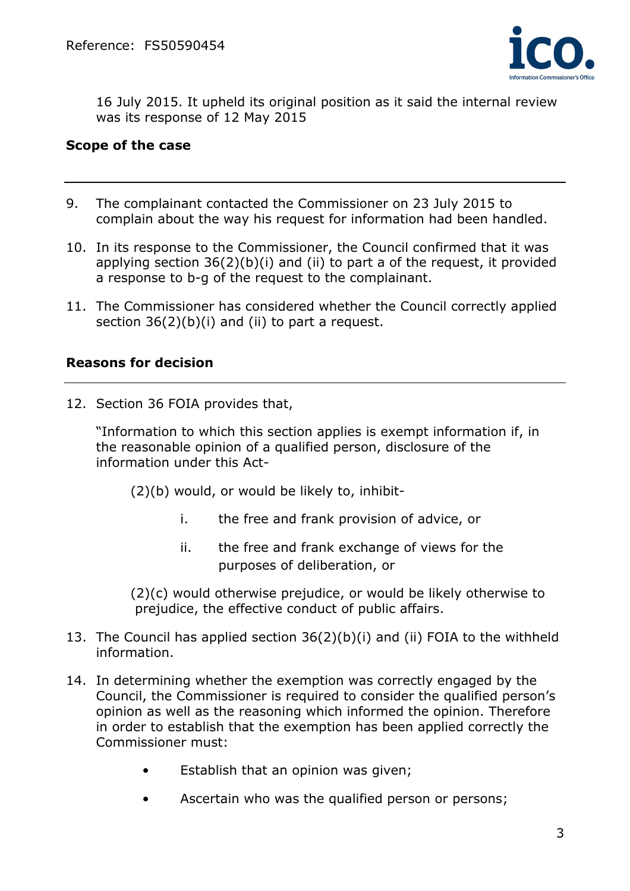

16 July 2015. It upheld its original position as it said the internal review was its response of 12 May 2015

#### **Scope of the case**

- 9. The complainant contacted the Commissioner on 23 July 2015 to complain about the way his request for information had been handled.
- 10. In its response to the Commissioner, the Council confirmed that it was applying section 36(2)(b)(i) and (ii) to part a of the request, it provided a response to b-g of the request to the complainant.
- 11. The Commissioner has considered whether the Council correctly applied section 36(2)(b)(i) and (ii) to part a request.

#### **Reasons for decision**

12. Section 36 FOIA provides that,

"Information to which this section applies is exempt information if, in the reasonable opinion of a qualified person, disclosure of the information under this Act-

(2)(b) would, or would be likely to, inhibit-

- i. the free and frank provision of advice, or
- ii. the free and frank exchange of views for the purposes of deliberation, or

 (2)(c) would otherwise prejudice, or would be likely otherwise to prejudice, the effective conduct of public affairs.

- 13. The Council has applied section 36(2)(b)(i) and (ii) FOIA to the withheld information.
- 14. In determining whether the exemption was correctly engaged by the Council, the Commissioner is required to consider the qualified person's opinion as well as the reasoning which informed the opinion. Therefore in order to establish that the exemption has been applied correctly the Commissioner must:
	- Establish that an opinion was given;
	- Ascertain who was the qualified person or persons;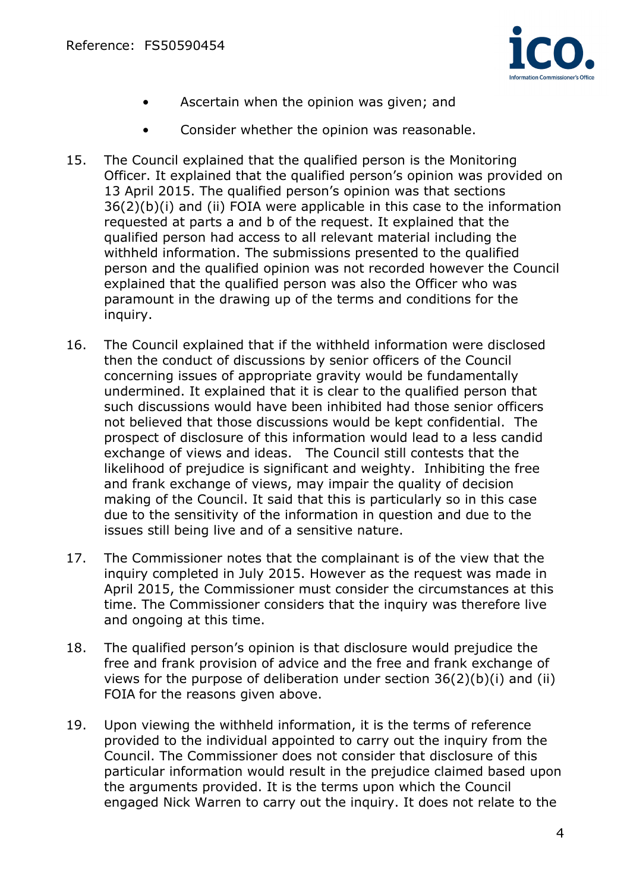

- Ascertain when the opinion was given; and
- Consider whether the opinion was reasonable.
- 15. The Council explained that the qualified person is the Monitoring Officer. It explained that the qualified person's opinion was provided on 13 April 2015. The qualified person's opinion was that sections 36(2)(b)(i) and (ii) FOIA were applicable in this case to the information requested at parts a and b of the request. It explained that the qualified person had access to all relevant material including the withheld information. The submissions presented to the qualified person and the qualified opinion was not recorded however the Council explained that the qualified person was also the Officer who was paramount in the drawing up of the terms and conditions for the inquiry.
- 16. The Council explained that if the withheld information were disclosed then the conduct of discussions by senior officers of the Council concerning issues of appropriate gravity would be fundamentally undermined. It explained that it is clear to the qualified person that such discussions would have been inhibited had those senior officers not believed that those discussions would be kept confidential. The prospect of disclosure of this information would lead to a less candid exchange of views and ideas. The Council still contests that the likelihood of prejudice is significant and weighty. Inhibiting the free and frank exchange of views, may impair the quality of decision making of the Council. It said that this is particularly so in this case due to the sensitivity of the information in question and due to the issues still being live and of a sensitive nature.
- 17. The Commissioner notes that the complainant is of the view that the inquiry completed in July 2015. However as the request was made in April 2015, the Commissioner must consider the circumstances at this time. The Commissioner considers that the inquiry was therefore live and ongoing at this time.
- 18. The qualified person's opinion is that disclosure would prejudice the free and frank provision of advice and the free and frank exchange of views for the purpose of deliberation under section 36(2)(b)(i) and (ii) FOIA for the reasons given above.
- 19. Upon viewing the withheld information, it is the terms of reference provided to the individual appointed to carry out the inquiry from the Council. The Commissioner does not consider that disclosure of this particular information would result in the prejudice claimed based upon the arguments provided. It is the terms upon which the Council engaged Nick Warren to carry out the inquiry. It does not relate to the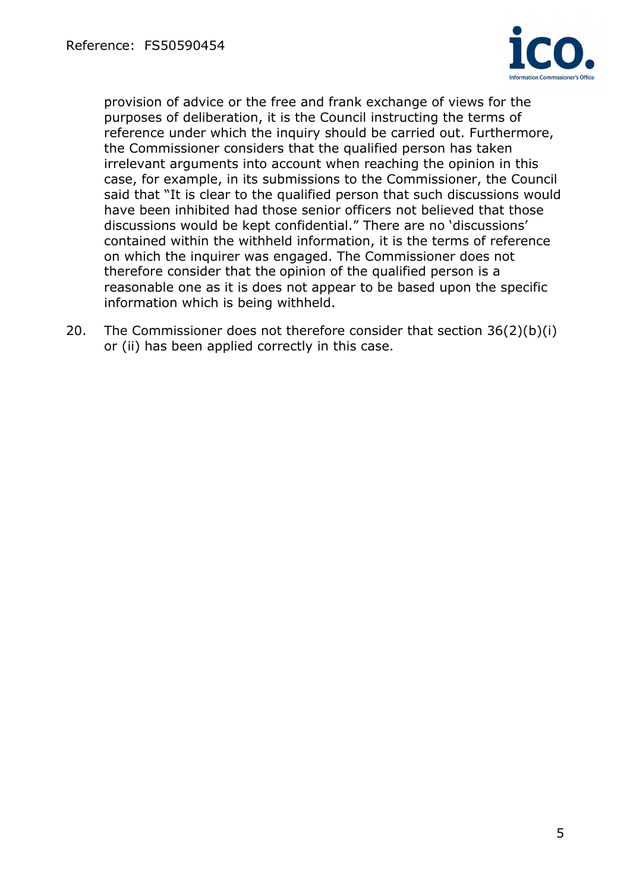

provision of advice or the free and frank exchange of views for the purposes of deliberation, it is the Council instructing the terms of reference under which the inquiry should be carried out. Furthermore, the Commissioner considers that the qualified person has taken irrelevant arguments into account when reaching the opinion in this case, for example, in its submissions to the Commissioner, the Council said that "It is clear to the qualified person that such discussions would have been inhibited had those senior officers not believed that those discussions would be kept confidential." There are no 'discussions' contained within the withheld information, it is the terms of reference on which the inquirer was engaged. The Commissioner does not therefore consider that the opinion of the qualified person is a reasonable one as it is does not appear to be based upon the specific information which is being withheld.

20. The Commissioner does not therefore consider that section 36(2)(b)(i) or (ii) has been applied correctly in this case.